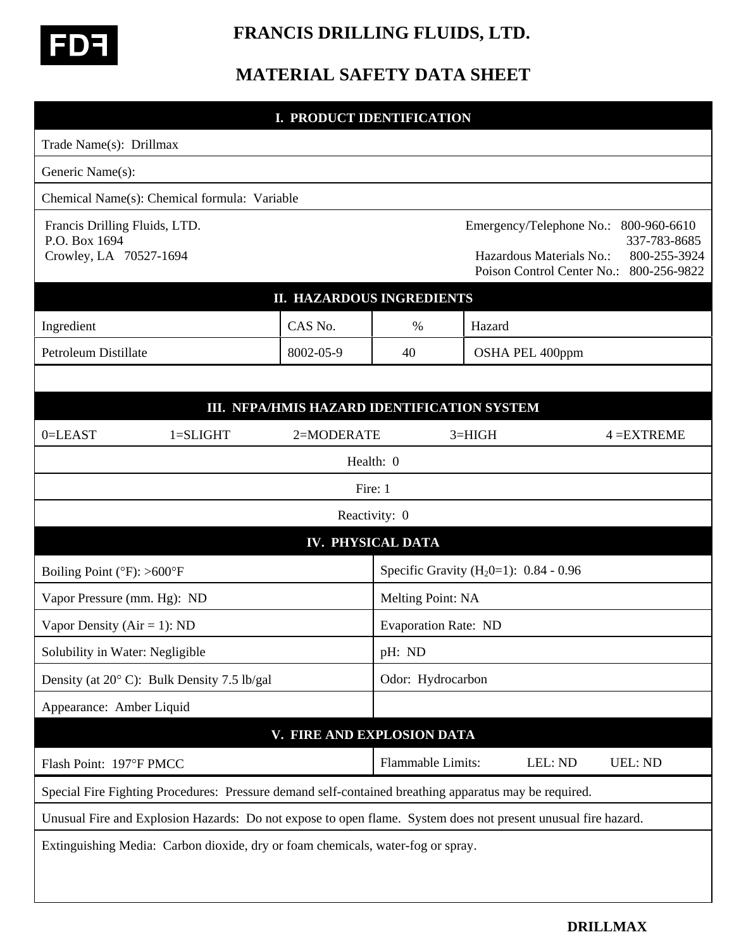

## **FRANCIS DRILLING FLUIDS, LTD.**

## **MATERIAL SAFETY DATA SHEET**

## **I. PRODUCT IDENTIFICATION** Trade Name(s): Drillmax Generic Name(s): Chemical Name(s): Chemical formula: Variable Francis Drilling Fluids, LTD. Emergency/Telephone No.: 800-960-6610 P.O. Box 1694 337-783-8685 Crowley, LA 70527-1694 Hazardous Materials No.: 800-255-3924 Poison Control Center No.: 800-256-9822 **II. HAZARDOUS INGREDIENTS** Ingredient CAS No.  $\parallel$  CAS No.  $\parallel$  % Hazard Petroleum Distillate  $|8002-05-9|$  40 OSHA PEL 400ppm **III. NFPA/HMIS HAZARD IDENTIFICATION SYSTEM** 0=LEAST 1=SLIGHT 2=MODERATE 3=HIGH 4 =EXTREME Health: 0 Fire: 1 Reactivity: 0 **IV. PHYSICAL DATA** Boiling Point ( ${}^{\circ}$ F): >600 ${}^{\circ}$ F Specific Gravity (H<sub>2</sub>0=1): 0.84 - 0.96 Vapor Pressure (mm. Hg): ND Melting Point: NA Vapor Density  $(Air = 1)$ : ND Evaporation Rate: ND Solubility in Water: Negligible  $\vert$  pH: ND Density (at  $20^{\circ}$  C): Bulk Density 7.5 lb/gal Odor: Hydrocarbon Appearance: Amber Liquid **V. FIRE AND EXPLOSION DATA** Flash Point: 197°F PMCC Flammable Limits: LEL: ND UEL: ND Special Fire Fighting Procedures: Pressure demand self-contained breathing apparatus may be required. Unusual Fire and Explosion Hazards: Do not expose to open flame. System does not present unusual fire hazard. Extinguishing Media: Carbon dioxide, dry or foam chemicals, water-fog or spray.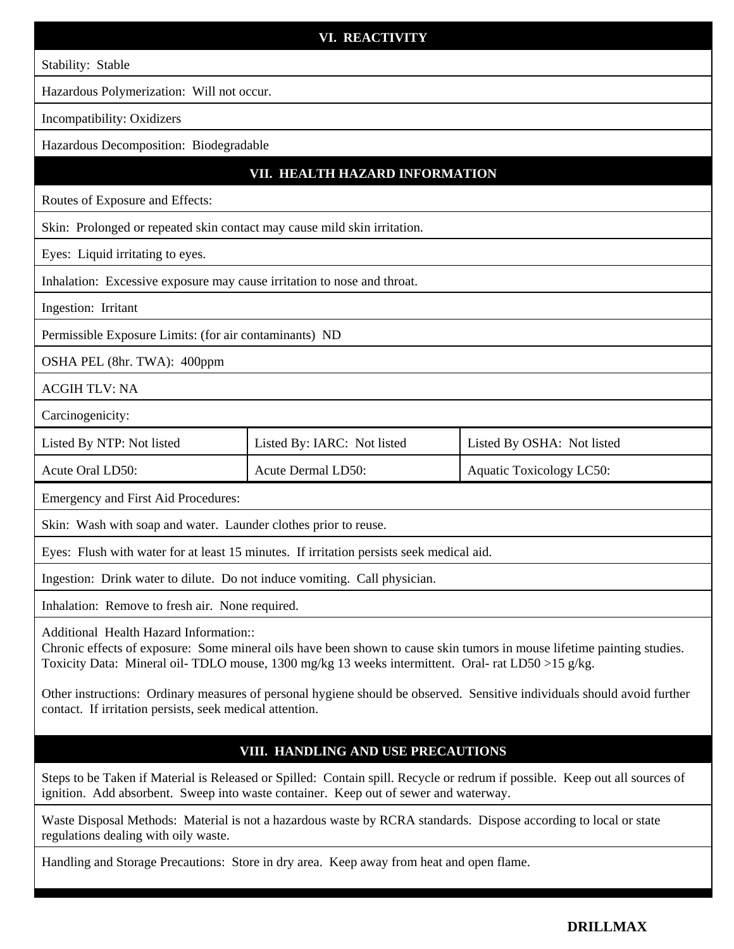| VI. REACTIVITY                                                                                                                                                                                                                                                         |                             |                            |  |
|------------------------------------------------------------------------------------------------------------------------------------------------------------------------------------------------------------------------------------------------------------------------|-----------------------------|----------------------------|--|
| Stability: Stable                                                                                                                                                                                                                                                      |                             |                            |  |
| Hazardous Polymerization: Will not occur.                                                                                                                                                                                                                              |                             |                            |  |
| Incompatibility: Oxidizers                                                                                                                                                                                                                                             |                             |                            |  |
| Hazardous Decomposition: Biodegradable                                                                                                                                                                                                                                 |                             |                            |  |
| VII. HEALTH HAZARD INFORMATION                                                                                                                                                                                                                                         |                             |                            |  |
| Routes of Exposure and Effects:                                                                                                                                                                                                                                        |                             |                            |  |
| Skin: Prolonged or repeated skin contact may cause mild skin irritation.                                                                                                                                                                                               |                             |                            |  |
| Eyes: Liquid irritating to eyes.                                                                                                                                                                                                                                       |                             |                            |  |
| Inhalation: Excessive exposure may cause irritation to nose and throat.                                                                                                                                                                                                |                             |                            |  |
| Ingestion: Irritant                                                                                                                                                                                                                                                    |                             |                            |  |
| Permissible Exposure Limits: (for air contaminants) ND                                                                                                                                                                                                                 |                             |                            |  |
| OSHA PEL (8hr. TWA): 400ppm                                                                                                                                                                                                                                            |                             |                            |  |
| <b>ACGIH TLV: NA</b>                                                                                                                                                                                                                                                   |                             |                            |  |
| Carcinogenicity:                                                                                                                                                                                                                                                       |                             |                            |  |
| Listed By NTP: Not listed                                                                                                                                                                                                                                              | Listed By: IARC: Not listed | Listed By OSHA: Not listed |  |
| Acute Oral LD50:                                                                                                                                                                                                                                                       | Acute Dermal LD50:          | Aquatic Toxicology LC50:   |  |
| Emergency and First Aid Procedures:                                                                                                                                                                                                                                    |                             |                            |  |
| Skin: Wash with soap and water. Launder clothes prior to reuse.                                                                                                                                                                                                        |                             |                            |  |
| Eyes: Flush with water for at least 15 minutes. If irritation persists seek medical aid.                                                                                                                                                                               |                             |                            |  |
| Ingestion: Drink water to dilute. Do not induce vomiting. Call physician.                                                                                                                                                                                              |                             |                            |  |
| Inhalation: Remove to fresh air. None required.                                                                                                                                                                                                                        |                             |                            |  |
| Additional Health Hazard Information::<br>Chronic effects of exposure: Some mineral oils have been shown to cause skin tumors in mouse lifetime painting studies.<br>Toxicity Data: Mineral oil-TDLO mouse, 1300 mg/kg 13 weeks intermittent. Oral-rat LD50 > 15 g/kg. |                             |                            |  |
| Other instructions: Ordinary measures of personal hygiene should be observed. Sensitive individuals should avoid further<br>contact. If irritation persists, seek medical attention.                                                                                   |                             |                            |  |

## **VIII. HANDLING AND USE PRECAUTIONS**

Steps to be Taken if Material is Released or Spilled: Contain spill. Recycle or redrum if possible. Keep out all sources of ignition. Add absorbent. Sweep into waste container. Keep out of sewer and waterway.

Waste Disposal Methods: Material is not a hazardous waste by RCRA standards. Dispose according to local or state regulations dealing with oily waste.

Handling and Storage Precautions: Store in dry area. Keep away from heat and open flame.